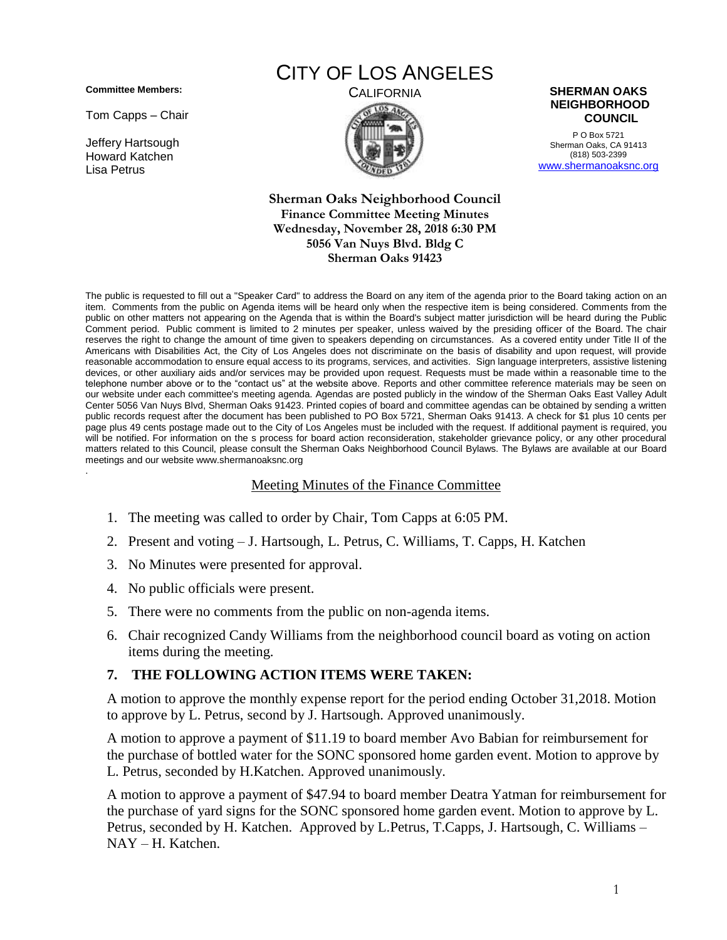**Committee Members:**

Tom Capps – Chair

Jeffery Hartsough Howard Katchen Lisa Petrus

## CITY OF LOS ANGELES



P O Box 5721 Sherman Oaks, CA 91413 (818) 503-2399 [www.shermanoaksnc.org](http://www.shermanoaksnc.org/)

## **Sherman Oaks Neighborhood Council Finance Committee Meeting Minutes Wednesday, November 28, 2018 6:30 PM 5056 Van Nuys Blvd. Bldg C Sherman Oaks 91423**

The public is requested to fill out a "Speaker Card" to address the Board on any item of the agenda prior to the Board taking action on an item. Comments from the public on Agenda items will be heard only when the respective item is being considered. Comments from the public on other matters not appearing on the Agenda that is within the Board's subject matter jurisdiction will be heard during the Public Comment period. Public comment is limited to 2 minutes per speaker, unless waived by the presiding officer of the Board. The chair reserves the right to change the amount of time given to speakers depending on circumstances. As a covered entity under Title II of the Americans with Disabilities Act, the City of Los Angeles does not discriminate on the basis of disability and upon request, will provide reasonable accommodation to ensure equal access to its programs, services, and activities. Sign language interpreters, assistive listening devices, or other auxiliary aids and/or services may be provided upon request. Requests must be made within a reasonable time to the telephone number above or to the "contact us" at the website above. Reports and other committee reference materials may be seen on our website under each committee's meeting agenda. Agendas are posted publicly in the window of the Sherman Oaks East Valley Adult Center 5056 Van Nuys Blvd, Sherman Oaks 91423. Printed copies of board and committee agendas can be obtained by sending a written public records request after the document has been published to PO Box 5721, Sherman Oaks 91413. A check for \$1 plus 10 cents per page plus 49 cents postage made out to the City of Los Angeles must be included with the request. If additional payment is required, you will be notified. For information on the s process for board action reconsideration, stakeholder grievance policy, or any other procedural matters related to this Council, please consult the Sherman Oaks Neighborhood Council Bylaws. The Bylaws are available at our Board meetings and our website www.shermanoaksnc.org .

## Meeting Minutes of the Finance Committee

- 1. The meeting was called to order by Chair, Tom Capps at 6:05 PM.
- 2. Present and voting J. Hartsough, L. Petrus, C. Williams, T. Capps, H. Katchen
- 3. No Minutes were presented for approval.
- 4. No public officials were present.
- 5. There were no comments from the public on non-agenda items.
- 6. Chair recognized Candy Williams from the neighborhood council board as voting on action items during the meeting.

## **7. THE FOLLOWING ACTION ITEMS WERE TAKEN:**

A motion to approve the monthly expense report for the period ending October 31,2018. Motion to approve by L. Petrus, second by J. Hartsough. Approved unanimously.

A motion to approve a payment of \$11.19 to board member Avo Babian for reimbursement for the purchase of bottled water for the SONC sponsored home garden event. Motion to approve by L. Petrus, seconded by H.Katchen. Approved unanimously.

A motion to approve a payment of \$47.94 to board member Deatra Yatman for reimbursement for the purchase of yard signs for the SONC sponsored home garden event. Motion to approve by L. Petrus, seconded by H. Katchen. Approved by L.Petrus, T.Capps, J. Hartsough, C. Williams – NAY – H. Katchen.